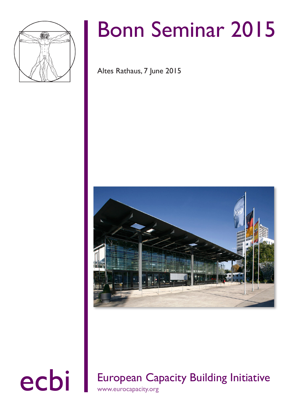

# Bonn Seminar 2015

Altes Rathaus, 7 June 2015



### ecbi European Capacity Building Initiative www.eurocapacity.org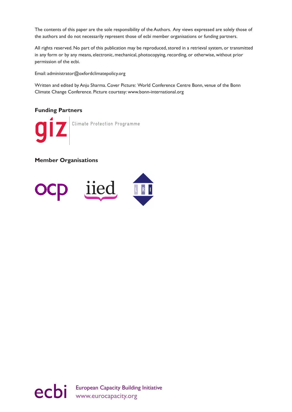The contents of this paper are the sole responsibility of the Authors. Any views expressed are solely those of the authors and do not necessarily represent those of ecbi member organisations or funding partners.

All rights reserved. No part of this publication may be reproduced, stored in a retrieval system, or transmitted in any form or by any means, electronic, mechanical, photocopying, recording, or otherwise, without prior permission of the ecbi.

Email: administrator@oxfordclimatepolicy.org

Written and edited by Anju Sharma. Cover Picture: World Conference Centre Bonn, venue of the Bonn Climate Change Conference. Picture courtesy: www.bonn-international.org

#### **Funding Partners**

Climate Protection Programme

#### **Member Organisations**



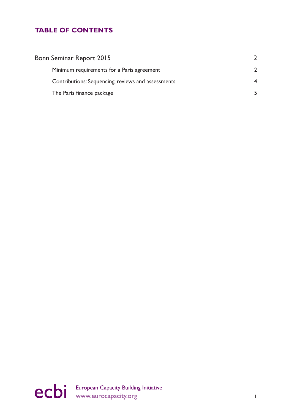#### **TABLE OF CONTENTS**

| Bonn Seminar Report 2015                           |  |
|----------------------------------------------------|--|
| Minimum requirements for a Paris agreement         |  |
| Contributions: Sequencing, reviews and assessments |  |
| The Paris finance package                          |  |

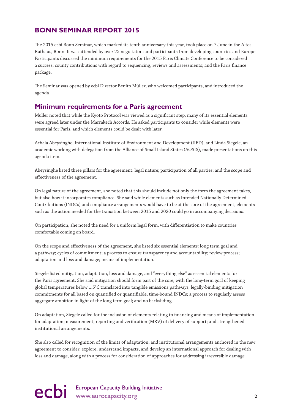#### <span id="page-3-0"></span>**BONN SEMINAR REPORT 2015**

The 2015 ecbi Bonn Seminar, which marked its tenth anniversary this year, took place on 7 June in the Altes Rathaus, Bonn. It was attended by over 25 negotiators and participants from developing countries and Europe. Participants discussed the minimum requirements for the 2015 Paris Climate Conference to be considered a success; county contributions with regard to sequencing, reviews and assessments; and the Paris finance package.

The Seminar was opened by ecbi Director Benito Müller, who welcomed participants, and introduced the agenda.

#### **Minimum requirements for a Paris agreement**

Müller noted that while the Kyoto Protocol was viewed as a significant step, many of its essential elements were agreed later under the Marrakech Accords. He asked participants to consider while elements were essential for Paris, and which elements could be dealt with later.

Achala Abeysinghe, International Institute of Environment and Development (IIED), and Linda Siegele, an academic working with delegation from the Alliance of Small Island States (AOSIS), made presentations on this agenda item.

Abeysinghe listed three pillars for the agreement: legal nature; participation of all parties; and the scope and effectiveness of the agreement.

On legal nature of the agreement, she noted that this should include not only the form the agreement takes, but also how it incorporates compliance. She said while elements such as Intended Nationally Determined Contributions (INDCs) and compliance arrangements would have to be at the core of the agreement, elements such as the action needed for the transition between 2015 and 2020 could go in accompanying decisions.

On participation, she noted the need for a uniform legal form, with differentiation to make countries comfortable coming on board.

On the scope and effectiveness of the agreement, she listed six essential elements: long term goal and a pathway; cycles of commitment; a process to ensure transparency and accountability; review process; adaptation and loss and damage; means of implementation.

Siegele listed mitigation, adaptation, loss and damage, and "everything else" as essential elements for the Paris agreement. She said mitigation should form part of the core, with the long-term goal of keeping global temperatures below 1.5°C translated into tangible emissions pathways; legally-binding mitigation commitments for all based on quantified or quantifiable, time-bound INDCs; a process to regularly assess aggregate ambition in light of the long term goal; and no backsliding.

On adaptation, Siegele called for the inclusion of elements relating to financing and means of implementation for adaptation; measurement, reporting and verification (MRV) of delivery of support; and strengthened institutional arrangements.

She also called for recognition of the limits of adaptation, and institutional arrangements anchored in the new agreement to consider, explore, understand impacts, and develop an international approach for dealing with loss and damage, along with a process for consideration of approaches for addressing irreversible damage.

## ecbi European Capacity Building Initiative **2**<br> **2**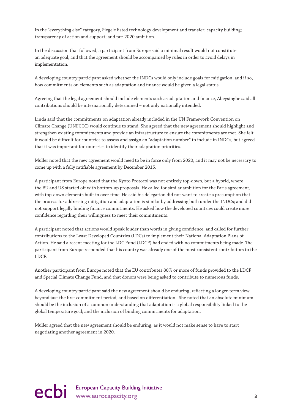In the "everything else" category, Siegele listed technology development and transfer; capacity building; transparency of action and support; and pre-2020 ambition.

In the discussion that followed, a participant from Europe said a minimal result would not constitute an adequate goal, and that the agreement should be accompanied by rules in order to avoid delays in implementation.

A developing country participant asked whether the INDCs would only include goals for mitigation, and if so, how commitments on elements such as adaptation and finance would be given a legal status.

Agreeing that the legal agreement should include elements such as adaptation and finance, Abeysinghe said all contributions should be internationally determined – not only nationally intended.

Linda said that the commitments on adaptation already included in the UN Framework Convention on Climate Change (UNFCCC) would continue to stand. She agreed that the new agreement should highlight and strengthen existing commitments and provide an infrastructure to ensure the commitments are met. She felt it would be difficult for countries to assess and assign an "adaptation number" to include in INDCs, but agreed that it was important for countries to identify their adaptation priorities.

Müller noted that the new agreement would need to be in force only from 2020, and it may not be necessary to come up with a fully ratifiable agreement by December 2015.

A participant from Europe noted that the Kyoto Protocol was not entirely top-down, but a hybrid, where the EU and US started off with bottom-up proposals. He called for similar ambition for the Paris agreement, with top-down elements built in over time. He said his delegation did not want to create a presumption that the process for addressing mitigation and adaptation is similar by addressing both under the INDCs; and did not support legally binding finance commitments. He asked how the developed countries could create more confidence regarding their willingness to meet their commitments.

A participant noted that actions would speak louder than words in giving confidence, and called for further contributions to the Least Developed Countries (LDCs) to implement their National Adaptation Plans of Action. He said a recent meeting for the LDC Fund (LDCF) had ended with no commitments being made. The participant from Europe responded that his country was already one of the most consistent contributors to the LDCF.

Another participant from Europe noted that the EU contributes 80% or more of funds provided to the LDCF and Special Climate Change Fund, and that donors were being asked to contribute to numerous funds.

A developing country participant said the new agreement should be enduring, reflecting a longer-term view beyond just the first commitment period, and based on differentiation. She noted that an absolute minimum should be the inclusion of a common understanding that adaptation is a global responsibility linked to the global temperature goal; and the inclusion of binding commitments for adaptation.

Müller agreed that the new agreement should be enduring, as it would not make sense to have to start negotiating another agreement in 2020.

ecbi European Capacity Building Initiative<br>
3<br>
<sup>3</sup>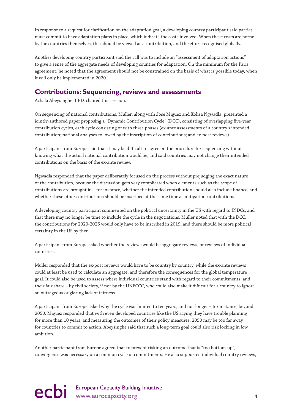<span id="page-5-0"></span>In response to a request for clarification on the adaptation goal, a developing country participant said parties must commit to have adaptation plans in place, which indicate the costs involved. When these costs are borne by the countries themselves, this should be viewed as a contribution, and the effort recognised globally.

Another developing country participant said the call was to include an "assessment of adaptation actions" to give a sense of the aggregate needs of developing counties for adaptation. On the minimum for the Paris agreement, he noted that the agreement should not be constrained on the basis of what is possible today, when it will only be implemented in 2020.

#### **Contributions: Sequencing, reviews and assessments**

Achala Abeysinghe, IIED, chaired this session.

On sequencing of national contributions, Müller, along with Jose Miguez and Xolisa Ngwadla, presented a jointly-authored paper proposing a "Dynamic Contribution Cycle" (DCC), consisting of overlapping five-year contribution cycles, each cycle consisting of with three phases (ex-ante assessments of a country's intended contribution; national analyses followed by the inscription of contributions; and ex-post reviews).

A participant from Europe said that it may be difficult to agree on the procedure for sequencing without knowing what the actual national contribution would be; and said countries may not change their intended contributions on the basis of the ex-ante review.

Ngwadla responded that the paper deliberately focused on the process without prejudging the exact nature of the contribution, because the discussion gets very complicated when elements such as the scope of contributions are brought in – for instance, whether the intended contribution should also include finance, and whether these other contributions should be inscribed at the same time as mitigation contributions.

A developing country participant commented on the political uncertainty in the US with regard to INDCs, and that there may no longer be time to include the cycle in the negotiations. Müller noted that with the DCC, the contributions for 2020-2025 would only have to be inscribed in 2019, and there should be more political certainty in the US by then.

A participant from Europe asked whether the reviews would be aggregate reviews, or reviews of individual countries.

Müller responded that the ex-post reviews would have to be country by country, while the ex-ante reviews could at least be used to calculate an aggregate, and therefore the consequences for the global temperature goal. It could also be used to assess where individual countries stand with regard to their commitments, and their fair share – by civil society, if not by the UNFCCC, who could also make it difficult for a country to ignore an outrageous or glaring lack of fairness.

A participant from Europe asked why the cycle was limited to ten years, and not longer – for instance, beyond 2050. Miguez responded that with even developed countries like the US saying they have trouble planning for more than 10 years, and measuring the outcomes of their policy measures, 2050 may be too far away for countries to commit to action. Abeysinghe said that such a long-term goal could also risk locking in low ambition.

Another participant from Europe agreed that to prevent risking an outcome that is "too bottom-up", convergence was necessary on a common cycle of commitments. He also supported individual country reviews,

## ecbi European Capacity Building Initiative<br>
4<br> **4**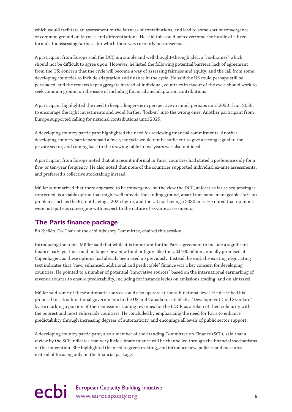<span id="page-6-0"></span>which would facilitate an assessment of the fairness of contributions, and lead to some sort of convergence or common ground on fairness and differentiations. He said this could help overcome the hurdle of a fixed formula for assessing fairness, for which there was currently no consensus.

A participant from Europe said the DCC is a simple and well thought-through idea, a "no-brainer" which should not be difficult to agree upon. However, he listed the following potential barriers: lack of agreement from the US; concern that the cycle will become a way of assessing fairness and equity; and the call from some developing countries to include adaptation and finance in the cycle. He said the US could perhaps still be persuaded, and the reviews kept aggregate instead of individual, countries in favour of the cycle should work to seek common ground on the issue of including financial and adaptation contributions.

A participant highlighted the need to keep a longer-term perspective in mind, perhaps until 2030 if not 2050, to encourage the right investments and avoid further "lock-in" into the wrong ones. Another participant from Europe supported calling for national contributions until 2025.

A developing country participant highlighted the need for reviewing financial commitments. Another developing country participant said a five-year cycle would not be sufficient to give a strong signal to the private sector, and coming back to the drawing table in five years was also not ideal.

A participant from Europe noted that at a recent informal in Paris, countries had stated a preference only for a five- or ten-year frequency. He also noted that none of the countries supported individual ex-ante assessments, and preferred a collective stocktaking instead.

Müller summarized that there appeared to be convergence on the view the DCC, at least as far as sequencing is concerned, is a viable option that might well provide the landing ground, apart from some manageable start-up problems such as the EU not having a 2025 figure, and the US not having a 2030 one. He noted that opinions were not quite as converging with respect to the nature of ex-ante assessments.

#### **The Paris finance package**

Bo Kjellén, Co-Chair of the ecbi Advisory Committee, chaired this session.

Introducing the topic, Müller said that while it is important for the Paris agreement to include a significant finance package, this could no longer be a new fund or figure like the US\$100 billion annually promised at Copenhagen, as these options had already been used up previously. Instead, he said, the existing negotiating text indicates that "new, enhanced, additional and predictable" finance was a key concern for developing countries. He pointed to a number of potential "innovative sources" based on the international earmarking of revenue sources to ensure predictability, including for instance levies on emissions trading, and on air travel.

Müller said some of these automatic sources could also operate at the sub-national level. He described his proposal to ask sub-national governments in the US and Canada to establish a "Development Gold Standard" by earmarking a portion of their emissions trading revenues for the LDCF, as a token of their solidarity with the poorest and most vulnerable countries. He concluded by emphasizing the need for Paris to enhance predictability through increasing degrees of automaticity, and encourage all levels of public sector support.

A developing country participant, also a member of the Standing Committee on Finance (SCF), said that a review by the SCF indicates that very little climate finance will be channelled through the financial mechanisms of the convention. She highlighted the need to green existing, and introduce new, policies and measures instead of focusing only on the financial package.